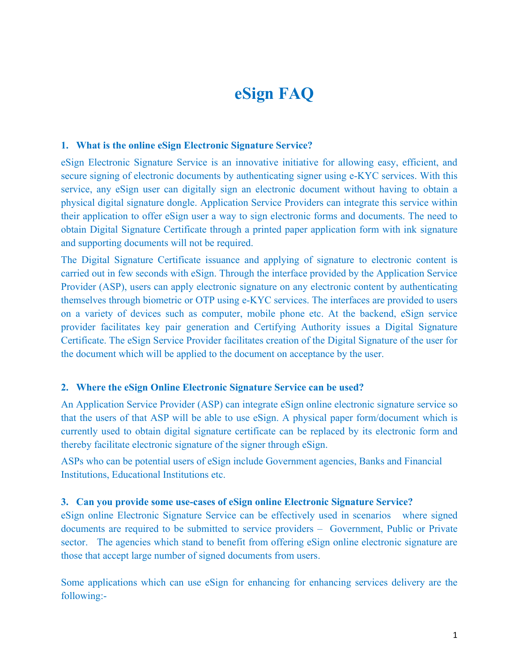# **eSign FAQ**

#### **1. What is the online eSign Electronic Signature Service?**

eSign Electronic Signature Service is an innovative initiative for allowing easy, efficient, and secure signing of electronic documents by authenticating signer using e-KYC services. With this service, any eSign user can digitally sign an electronic document without having to obtain a physical digital signature dongle. Application Service Providers can integrate this service within their application to offer eSign user a way to sign electronic forms and documents. The need to obtain Digital Signature Certificate through a printed paper application form with ink signature and supporting documents will not be required.

The Digital Signature Certificate issuance and applying of signature to electronic content is carried out in few seconds with eSign. Through the interface provided by the Application Service Provider (ASP), users can apply electronic signature on any electronic content by authenticating themselves through biometric or OTP using e-KYC services. The interfaces are provided to users on a variety of devices such as computer, mobile phone etc. At the backend, eSign service provider facilitates key pair generation and Certifying Authority issues a Digital Signature Certificate. The eSign Service Provider facilitates creation of the Digital Signature of the user for the document which will be applied to the document on acceptance by the user.

#### **2. Where the eSign Online Electronic Signature Service can be used?**

An Application Service Provider (ASP) can integrate eSign online electronic signature service so that the users of that ASP will be able to use eSign. A physical paper form/document which is currently used to obtain digital signature certificate can be replaced by its electronic form and thereby facilitate electronic signature of the signer through eSign.

ASPs who can be potential users of eSign include Government agencies, Banks and Financial Institutions, Educational Institutions etc.

#### **3. Can you provide some use-cases of eSign online Electronic Signature Service?**

eSign online Electronic Signature Service can be effectively used in scenarios where signed documents are required to be submitted to service providers – Government, Public or Private sector. The agencies which stand to benefit from offering eSign online electronic signature are those that accept large number of signed documents from users.

Some applications which can use eSign for enhancing for enhancing services delivery are the following:-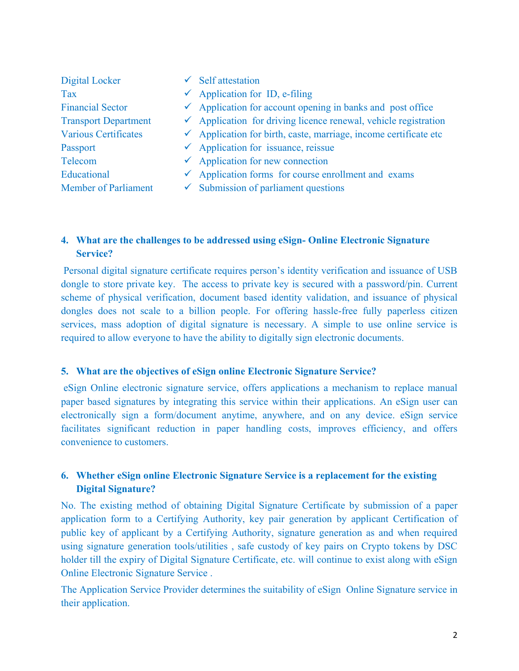| Digital Locker              | Self attestation                                                            |
|-----------------------------|-----------------------------------------------------------------------------|
| <b>Tax</b>                  | $\checkmark$ Application for ID, e-filing                                   |
| <b>Financial Sector</b>     | $\checkmark$ Application for account opening in banks and post office       |
| <b>Transport Department</b> | $\checkmark$ Application for driving licence renewal, vehicle registration  |
| <b>Various Certificates</b> | $\checkmark$ Application for birth, caste, marriage, income certificate etc |
| Passport                    | $\checkmark$ Application for issuance, reissue                              |
| Telecom                     | $\checkmark$ Application for new connection                                 |
| Educational                 | $\checkmark$ Application forms for course enrollment and exams              |
| <b>Member of Parliament</b> | $\checkmark$ Submission of parliament questions                             |

# **4. What are the challenges to be addressed using eSign- Online Electronic Signature Service?**

Personal digital signature certificate requires person's identity verification and issuance of USB dongle to store private key. The access to private key is secured with a password/pin. Current scheme of physical verification, document based identity validation, and issuance of physical dongles does not scale to a billion people. For offering hassle-free fully paperless citizen services, mass adoption of digital signature is necessary. A simple to use online service is required to allow everyone to have the ability to digitally sign electronic documents.

## **5. What are the objectives of eSign online Electronic Signature Service?**

eSign Online electronic signature service, offers applications a mechanism to replace manual paper based signatures by integrating this service within their applications. An eSign user can electronically sign a form/document anytime, anywhere, and on any device. eSign service facilitates significant reduction in paper handling costs, improves efficiency, and offers convenience to customers.

# **6. Whether eSign online Electronic Signature Service is a replacement for the existing Digital Signature?**

No. The existing method of obtaining Digital Signature Certificate by submission of a paper application form to a Certifying Authority, key pair generation by applicant Certification of public key of applicant by a Certifying Authority, signature generation as and when required using signature generation tools/utilities , safe custody of key pairs on Crypto tokens by DSC holder till the expiry of Digital Signature Certificate, etc. will continue to exist along with eSign Online Electronic Signature Service .

The Application Service Provider determines the suitability of eSign Online Signature service in their application.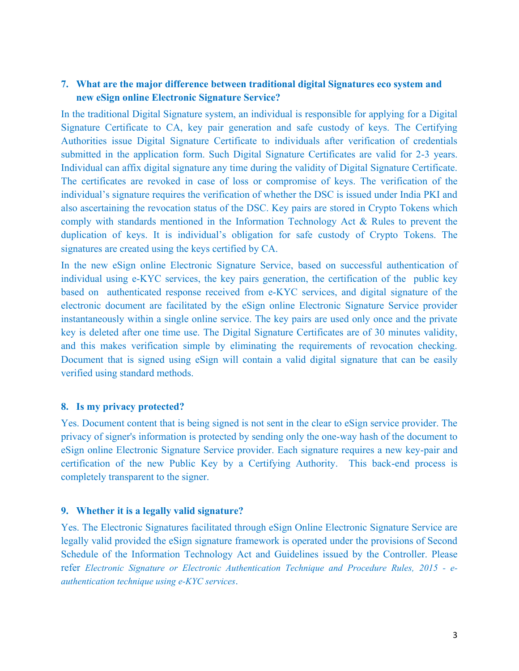# **7. What are the major difference between traditional digital Signatures eco system and new eSign online Electronic Signature Service?**

In the traditional Digital Signature system, an individual is responsible for applying for a Digital Signature Certificate to CA, key pair generation and safe custody of keys. The Certifying Authorities issue Digital Signature Certificate to individuals after verification of credentials submitted in the application form. Such Digital Signature Certificates are valid for 2-3 years. Individual can affix digital signature any time during the validity of Digital Signature Certificate. The certificates are revoked in case of loss or compromise of keys. The verification of the individual's signature requires the verification of whether the DSC is issued under India PKI and also ascertaining the revocation status of the DSC. Key pairs are stored in Crypto Tokens which comply with standards mentioned in the Information Technology Act & Rules to prevent the duplication of keys. It is individual's obligation for safe custody of Crypto Tokens. The signatures are created using the keys certified by CA.

In the new eSign online Electronic Signature Service, based on successful authentication of individual using e-KYC services, the key pairs generation, the certification of the public key based on authenticated response received from e-KYC services, and digital signature of the electronic document are facilitated by the eSign online Electronic Signature Service provider instantaneously within a single online service. The key pairs are used only once and the private key is deleted after one time use. The Digital Signature Certificates are of 30 minutes validity, and this makes verification simple by eliminating the requirements of revocation checking. Document that is signed using eSign will contain a valid digital signature that can be easily verified using standard methods.

#### **8. Is my privacy protected?**

Yes. Document content that is being signed is not sent in the clear to eSign service provider. The privacy of signer's information is protected by sending only the one-way hash of the document to eSign online Electronic Signature Service provider. Each signature requires a new key-pair and certification of the new Public Key by a Certifying Authority. This back-end process is completely transparent to the signer.

#### **9. Whether it is a legally valid signature?**

Yes. The Electronic Signatures facilitated through eSign Online Electronic Signature Service are legally valid provided the eSign signature framework is operated under the provisions of Second Schedule of the Information Technology Act and Guidelines issued by the Controller. Please refer *Electronic Signature or Electronic Authentication Technique and Procedure Rules, 2015 - eauthentication technique using e-KYC services*.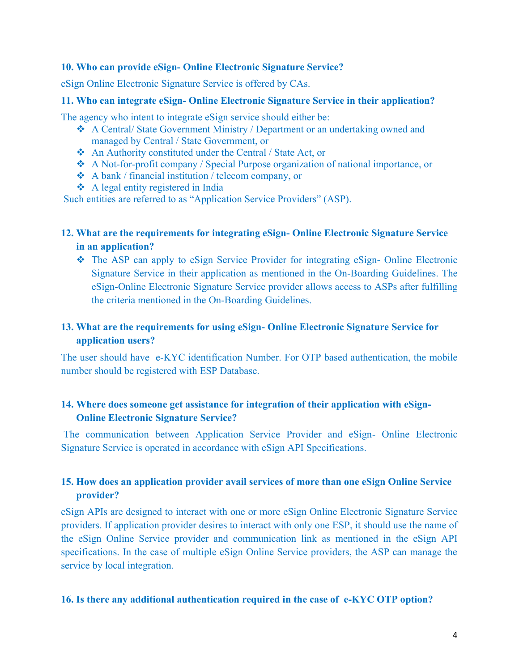#### **10. Who can provide eSign- Online Electronic Signature Service?**

eSign Online Electronic Signature Service is offered by CAs.

#### **11. Who can integrate eSign- Online Electronic Signature Service in their application?**

The agency who intent to integrate eSign service should either be:

- A Central/ State Government Ministry / Department or an undertaking owned and managed by Central / State Government, or
- An Authority constituted under the Central / State Act, or
- A Not-for-profit company / Special Purpose organization of national importance, or
- $\triangleleft$  A bank / financial institution / telecom company, or
- $\triangle$  A legal entity registered in India

Such entities are referred to as "Application Service Providers" (ASP).

## **12. What are the requirements for integrating eSign- Online Electronic Signature Service in an application?**

 The ASP can apply to eSign Service Provider for integrating eSign- Online Electronic Signature Service in their application as mentioned in the On-Boarding Guidelines. The eSign-Online Electronic Signature Service provider allows access to ASPs after fulfilling the criteria mentioned in the On-Boarding Guidelines.

# **13. What are the requirements for using eSign- Online Electronic Signature Service for application users?**

The user should have e-KYC identification Number. For OTP based authentication, the mobile number should be registered with ESP Database.

## **14. Where does someone get assistance for integration of their application with eSign-Online Electronic Signature Service?**

The communication between Application Service Provider and eSign- Online Electronic Signature Service is operated in accordance with eSign API Specifications.

# **15. How does an application provider avail services of more than one eSign Online Service provider?**

eSign APIs are designed to interact with one or more eSign Online Electronic Signature Service providers. If application provider desires to interact with only one ESP, it should use the name of the eSign Online Service provider and communication link as mentioned in the eSign API specifications. In the case of multiple eSign Online Service providers, the ASP can manage the service by local integration.

## **16. Is there any additional authentication required in the case of e-KYC OTP option?**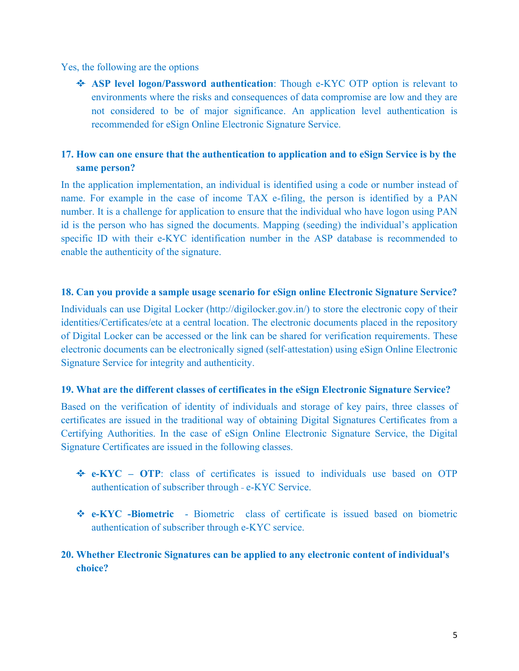Yes, the following are the options

 **ASP level logon/Password authentication**: Though e-KYC OTP option is relevant to environments where the risks and consequences of data compromise are low and they are not considered to be of major significance. An application level authentication is recommended for eSign Online Electronic Signature Service.

# **17. How can one ensure that the authentication to application and to eSign Service is by the same person?**

In the application implementation, an individual is identified using a code or number instead of name. For example in the case of income TAX e-filing, the person is identified by a PAN number. It is a challenge for application to ensure that the individual who have logon using PAN id is the person who has signed the documents. Mapping (seeding) the individual's application specific ID with their e-KYC identification number in the ASP database is recommended to enable the authenticity of the signature.

#### **18. Can you provide a sample usage scenario for eSign online Electronic Signature Service?**

Individuals can use Digital Locker (http://digilocker.gov.in/) to store the electronic copy of their identities/Certificates/etc at a central location. The electronic documents placed in the repository of Digital Locker can be accessed or the link can be shared for verification requirements. These electronic documents can be electronically signed (self-attestation) using eSign Online Electronic Signature Service for integrity and authenticity.

#### **19. What are the different classes of certificates in the eSign Electronic Signature Service?**

Based on the verification of identity of individuals and storage of key pairs, three classes of certificates are issued in the traditional way of obtaining Digital Signatures Certificates from a Certifying Authorities. In the case of eSign Online Electronic Signature Service, the Digital Signature Certificates are issued in the following classes.

- **e-KYC – OTP**: class of certificates is issued to individuals use based on OTP authentication of subscriber through - e-KYC Service.
- **e-KYC -Biometric**  Biometric class of certificate is issued based on biometric authentication of subscriber through e-KYC service.

## **20. Whether Electronic Signatures can be applied to any electronic content of individual's choice?**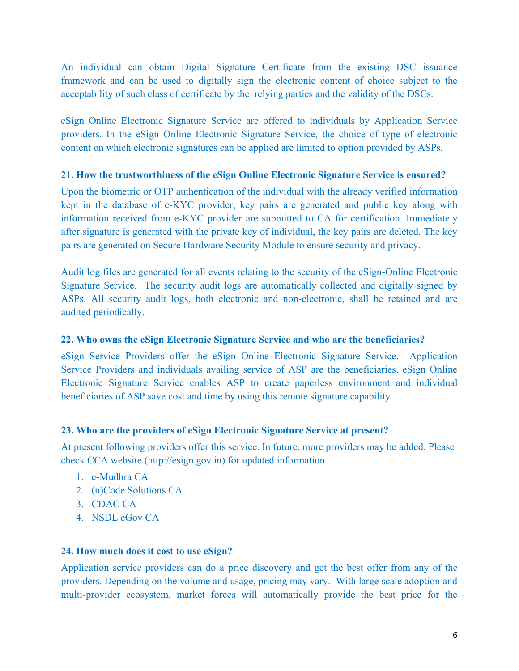An individual can obtain Digital Signature Certificate from the existing DSC issuance framework and can be used to digitally sign the electronic content of choice subject to the acceptability of such class of certificate by the relying parties and the validity of the DSCs.

eSign Online Electronic Signature Service are offered to individuals by Application Service providers. In the eSign Online Electronic Signature Service, the choice of type of electronic content on which electronic signatures can be applied are limited to option provided by ASPs.

## **21. How the trustworthiness of the eSign Online Electronic Signature Service is ensured?**

Upon the biometric or OTP authentication of the individual with the already verified information kept in the database of e-KYC provider, key pairs are generated and public key along with information received from e-KYC provider are submitted to CA for certification. Immediately after signature is generated with the private key of individual, the key pairs are deleted. The key pairs are generated on Secure Hardware Security Module to ensure security and privacy.

Audit log files are generated for all events relating to the security of the eSign-Online Electronic Signature Service. The security audit logs are automatically collected and digitally signed by ASPs. All security audit logs, both electronic and non-electronic, shall be retained and are audited periodically.

## **22. Who owns the eSign Electronic Signature Service and who are the beneficiaries?**

eSign Service Providers offer the eSign Online Electronic Signature Service. Application Service Providers and individuals availing service of ASP are the beneficiaries. eSign Online Electronic Signature Service enables ASP to create paperless environment and individual beneficiaries of ASP save cost and time by using this remote signature capability

## **23. Who are the providers of eSign Electronic Signature Service at present?**

At present following providers offer this service. In future, more providers may be added. Please check CCA website [\(http://esign.gov.in\)](http://cca.gov.in/) for updated information.

- 1. e-Mudhra CA
- 2. (n)Code Solutions CA
- 3. CDAC CA
- 4. NSDL eGov CA

## **24. How much does it cost to use eSign?**

Application service providers can do a price discovery and get the best offer from any of the providers. Depending on the volume and usage, pricing may vary. With large scale adoption and multi-provider ecosystem, market forces will automatically provide the best price for the